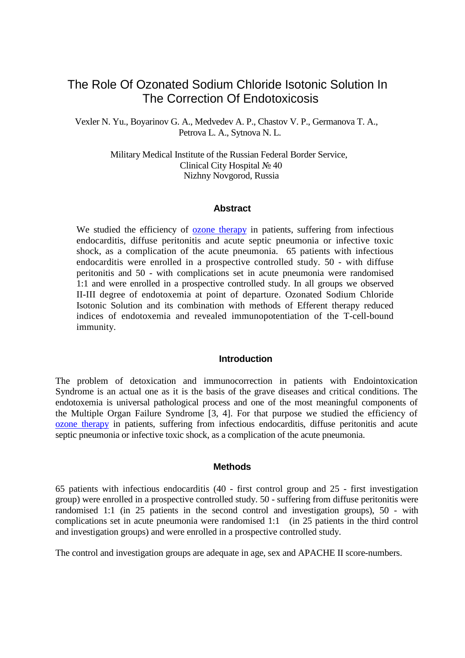# The Role Of Ozonated Sodium Chloride Isotonic Solution In The Correction Of Endotoxicosis

Vexler N. Yu., Boyarinov G. A., Medvedev A. P., Chastov V. P., Germanova T. A., Petrova L. A., Sytnova N. L.

> Military Medical Institute of the Russian Federal Border Service, Clinical City Hospital № 40 Nizhny Novgorod, Russia

## **Abstract**

We studied the efficiency of [ozone therapy](http://www.austinozone.com/) in patients, suffering from infectious endocarditis, diffuse peritonitis and acute septic pneumonia or infective toxic shock, as a complication of the acute pneumonia. 65 patients with infectious endocarditis were enrolled in a prospective controlled study. 50 - with diffuse peritonitis and 50 - with complications set in acute pneumonia were randomised 1:1 and were enrolled in a prospective controlled study. In all groups we observed II-III degree of endotoxemia at point of departure. Ozonated Sodium Chloride Isotonic Solution and its combination with methods of Efferent therapy reduced indices of endotoxemia and revealed immunopotentiation of the T-cell-bound immunity.

## **Introduction**

The problem of detoxication and immunocorrection in patients with Endointoxication Syndrome is an actual one as it is the basis of the grave diseases and critical conditions. The endotoxemia is universal pathological process and one of the most meaningful components of the Multiple Organ Failure Syndrome [3, 4]. For that purpose we studied the efficiency of [ozone therapy](http://www.ozonemachine.org/) in patients, suffering from infectious endocarditis, diffuse peritonitis and acute septic pneumonia or infective toxic shock, as a complication of the acute pneumonia.

## **Methods**

65 patients with infectious endocarditis (40 - first control group and 25 - first investigation group) were enrolled in a prospective controlled study. 50 - suffering from diffuse peritonitis were randomised 1:1 (in 25 patients in the second control and investigation groups), 50 - with complications set in acute pneumonia were randomised 1:1 (in 25 patients in the third control and investigation groups) and were enrolled in a prospective controlled study.

The control and investigation groups are adequate in age, sex and APACHE II score-numbers.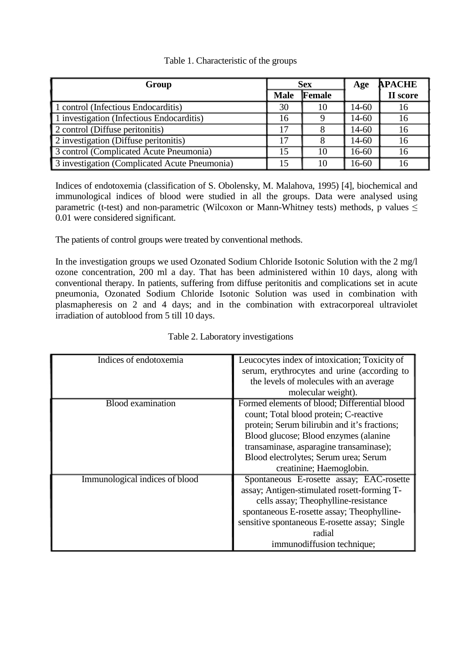# Table 1. Characteristic of the groups

| Group                                         | <b>Sex</b>  |        | Age       | <b>APACHE</b> |
|-----------------------------------------------|-------------|--------|-----------|---------------|
|                                               | <b>Male</b> | Female |           | II score      |
| 1 control (Infectious Endocarditis)           | 30          | 10     | $14 - 60$ | 16            |
| 1 investigation (Infectious Endocarditis)     | 16          |        | $14 - 60$ | 16            |
| 2 control (Diffuse peritonitis)               | 17          |        | $14 - 60$ | 16            |
| 2 investigation (Diffuse peritonitis)         | 17          |        | $14 - 60$ | 16            |
| 3 control (Complicated Acute Pneumonia)       | 15          | 10     | $16 - 60$ | 16            |
| 3 investigation (Complicated Acute Pneumonia) | 15          | 10     | $16 - 60$ | 16            |

Indices of endotoxemia (classification of S. Obolensky, M. Malahova, 1995) [4], biochemical and immunological indices of blood were studied in all the groups. Data were analysed using parametric (t-test) and non-parametric (Wilcoxon or Mann-Whitney tests) methods, p values  $\leq$ 0.01 were considered significant.

The patients of control groups were treated by conventional methods.

In the investigation groups we used Ozonated Sodium Chloride Isotonic Solution with the 2 mg/l ozone concentration, 200 ml a day. That has been administered within 10 days, along with conventional therapy. In patients, suffering from diffuse peritonitis and complications set in acute pneumonia, Ozonated Sodium Chloride Isotonic Solution was used in combination with plasmapheresis on 2 and 4 days; and in the combination with extracorporeal ultraviolet irradiation of autoblood from 5 till 10 days.

| Indices of endotoxemia         | Leucocytes index of intoxication; Toxicity of |  |  |
|--------------------------------|-----------------------------------------------|--|--|
|                                | serum, erythrocytes and urine (according to   |  |  |
|                                | the levels of molecules with an average       |  |  |
|                                | molecular weight).                            |  |  |
| <b>Blood</b> examination       | Formed elements of blood; Differential blood  |  |  |
|                                | count; Total blood protein; C-reactive        |  |  |
|                                | protein; Serum bilirubin and it's fractions;  |  |  |
|                                | Blood glucose; Blood enzymes (alanine         |  |  |
|                                | transaminase, asparagine transaminase);       |  |  |
|                                | Blood electrolytes; Serum urea; Serum         |  |  |
|                                | creatinine; Haemoglobin.                      |  |  |
| Immunological indices of blood | Spontaneous E-rosette assay; EAC-rosette      |  |  |
|                                | assay; Antigen-stimulated rosett-forming T-   |  |  |
|                                | cells assay; Theophylline-resistance          |  |  |
|                                | spontaneous E-rosette assay; Theophylline-    |  |  |
|                                | sensitive spontaneous E-rosette assay; Single |  |  |
|                                | radial                                        |  |  |
|                                | immunodiffusion technique;                    |  |  |

| Table 2. Laboratory investigations |  |
|------------------------------------|--|
|------------------------------------|--|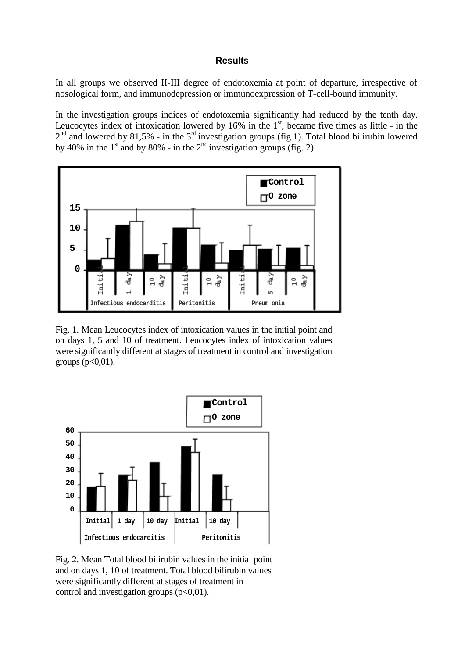## **Results**

In all groups we observed II-III degree of endotoxemia at point of departure, irrespective of nosological form, and immunodepression or immunoexpression of T-cell-bound immunity.

In the investigation groups indices of endotoxemia significantly had reduced by the tenth day. Leucocytes index of intoxication lowered by  $16\%$  in the  $1<sup>st</sup>$ , became five times as little - in the  $2<sup>nd</sup>$  and lowered by 81,5% - in the 3<sup>rd</sup> investigation groups (fig.1). Total blood bilirubin lowered by 40% in the 1<sup>st</sup> and by 80% - in the  $2<sup>nd</sup>$  investigation groups (fig. 2).



Fig. 1. Mean Leucocytes index of intoxication values in the initial point and on days 1, 5 and 10 of treatment. Leucocytes index of intoxication values were significantly different at stages of treatment in control and investigation groups  $(p<0,01)$ .



Fig. 2. Mean Total blood bilirubin values in the initial point and on days 1, 10 of treatment. Total blood bilirubin values were significantly different at stages of treatment in control and investigation groups  $(p<0.01)$ .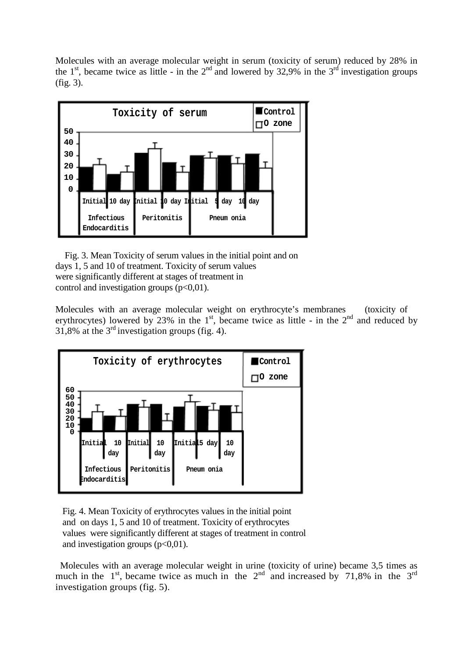Molecules with an average molecular weight in serum (toxicity of serum) reduced by 28% in the 1<sup>st</sup>, became twice as little - in the 2<sup>nd</sup> and lowered by 32,9% in the 3<sup>rd</sup> investigation groups (fig. 3).



Fig. 3. Mean Toxicity of serum values in the initial point and on days 1, 5 and 10 of treatment. Toxicity of serum values were significantly different at stages of treatment in control and investigation groups  $(p<0.01)$ .

Molecules with an average molecular weight on erythrocyte's membranes (toxicity of erythrocytes) lowered by 23% in the  $1<sup>st</sup>$ , became twice as little - in the  $2<sup>nd</sup>$  and reduced by 31,8% at the  $3<sup>rd</sup>$  investigation groups (fig. 4).



Fig. 4. Mean Toxicity of erythrocytes values in the initial point and on days 1, 5 and 10 of treatment. Toxicity of erythrocytes values were significantly different at stages of treatment in control and investigation groups  $(p<0.01)$ .

Molecules with an average molecular weight in urine (toxicity of urine) became 3,5 times as much in the  $1<sup>st</sup>$ , became twice as much in the  $2<sup>nd</sup>$  and increased by 71,8% in the  $3<sup>rd</sup>$ investigation groups (fig. 5).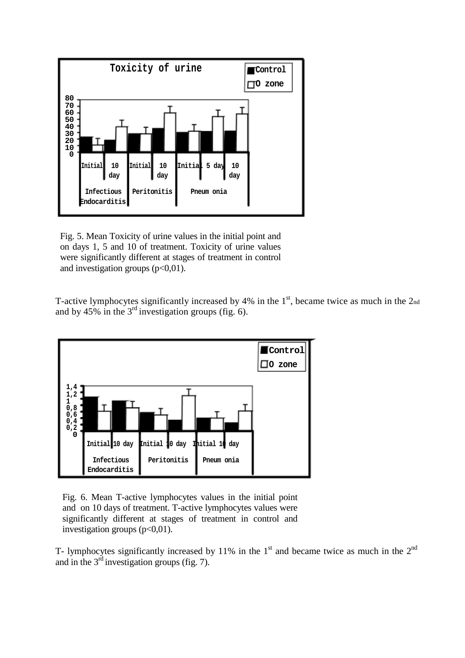

Fig. 5. Mean Toxicity of urine values in the initial point and on days 1, 5 and 10 of treatment. Toxicity of urine values were significantly different at stages of treatment in control and investigation groups  $(p<0,01)$ .

T-active lymphocytes significantly increased by 4% in the  $1<sup>st</sup>$ , became twice as much in the  $2<sub>nd</sub>$ and by 45% in the  $3<sup>rd</sup>$  investigation groups (fig. 6).



Fig. 6. Mean T-active lymphocytes values in the initial point and on 10 days of treatment. T-active lymphocytes values were significantly different at stages of treatment in control and investigation groups  $(p<0.01)$ .

T- lymphocytes significantly increased by 11% in the  $1<sup>st</sup>$  and became twice as much in the  $2<sup>nd</sup>$ and in the  $3^{rd}$  investigation groups (fig. 7).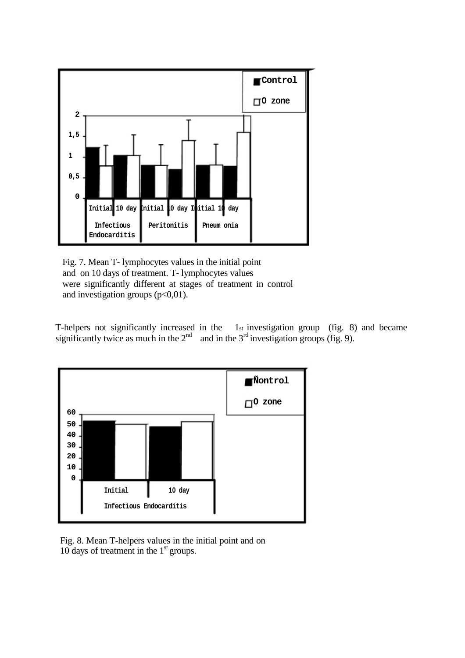

Fig. 7. Mean T- lymphocytes values in the initial point and on 10 days of treatment. T- lymphocytes values were significantly different at stages of treatment in control and investigation groups  $(p<0,01)$ .

T-helpers not significantly increased in the 1st investigation group (fig. 8) and became significantly twice as much in the  $2<sup>nd</sup>$  and in the  $3<sup>rd</sup>$  investigation groups (fig. 9).



Fig. 8. Mean T-helpers values in the initial point and on 10 days of treatment in the  $1<sup>st</sup>$  groups.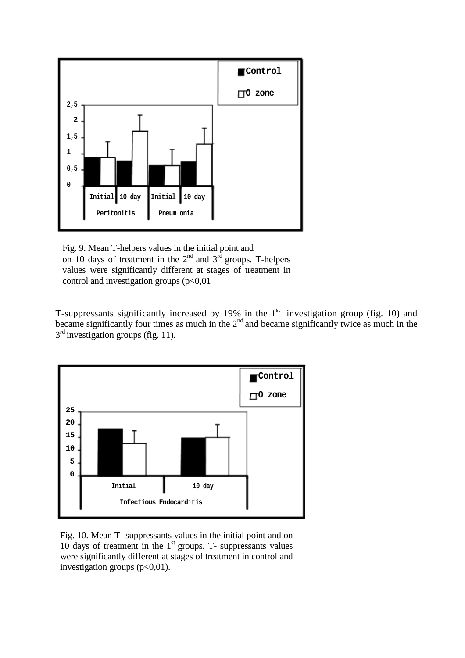

Fig. 9. Mean T-helpers values in the initial point and on 10 days of treatment in the  $2<sup>nd</sup>$  and  $3<sup>rd</sup>$  groups. T-helpers values were significantly different at stages of treatment in control and investigation groups (p<0,01

T-suppressants significantly increased by 19% in the  $1<sup>st</sup>$  investigation group (fig. 10) and became significantly four times as much in the  $2<sup>nd</sup>$  and became significantly twice as much in the  $3<sup>rd</sup>$  investigation groups (fig. 11).



Fig. 10. Mean T- suppressants values in the initial point and on 10 days of treatment in the  $1<sup>st</sup>$  groups. T- suppressants values were significantly different at stages of treatment in control and investigation groups  $(p<0,01)$ .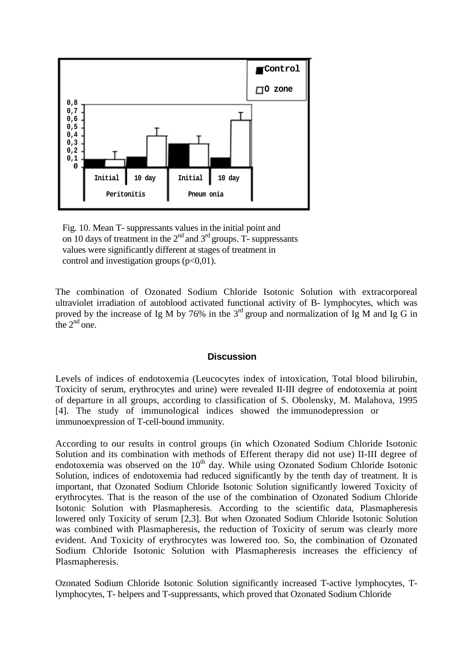

Fig. 10. Mean T- suppressants values in the initial point and on 10 days of treatment in the  $2<sup>nd</sup>$  and  $3<sup>rd</sup>$  groups. T- suppressants values were significantly different at stages of treatment in control and investigation groups  $(p<0.01)$ .

The combination of Ozonated Sodium Chloride Isotonic Solution with extracorporeal ultraviolet irradiation of autoblood activated functional activity of B- lymphocytes, which was proved by the increase of Ig M by 76% in the  $3<sup>rd</sup>$  group and normalization of Ig M and Ig G in the  $2<sup>nd</sup>$  one.

# **Discussion**

Levels of indices of endotoxemia (Leucocytes index of intoxication, Total blood bilirubin, Toxicity of serum, erythrocytes and urine) were revealed II-III degree of endotoxemia at point of departure in all groups, according to classification of S. Obolensky, M. Malahova, 1995 [4]. The study of immunological indices showed the immunodepression or immunoexpression of T-cell-bound immunity.

According to our results in control groups (in which Ozonated Sodium Chloride Isotonic Solution and its combination with methods of Efferent therapy did not use) II-III degree of endotoxemia was observed on the  $10<sup>th</sup>$  day. While using Ozonated Sodium Chloride Isotonic Solution, indices of endotoxemia had reduced significantly by the tenth day of treatment. It is important, that Ozonated Sodium Chloride Isotonic Solution significantly lowered Toxicity of erythrocytes. That is the reason of the use of the combination of Ozonated Sodium Chloride Isotonic Solution with Plasmapheresis. According to the scientific data, Plasmapheresis lowered only Toxicity of serum [2,3]. But when Ozonated Sodium Chloride Isotonic Solution was combined with Plasmapheresis, the reduction of Toxicity of serum was clearly more evident. And Toxicity of erythrocytes was lowered too. So, the combination of Ozonated Sodium Chloride Isotonic Solution with Plasmapheresis increases the efficiency of Plasmapheresis.

Ozonated Sodium Chloride Isotonic Solution significantly increased T-active lymphocytes, Tlymphocytes, T- helpers and T-suppressants, which proved that Ozonated Sodium Chloride